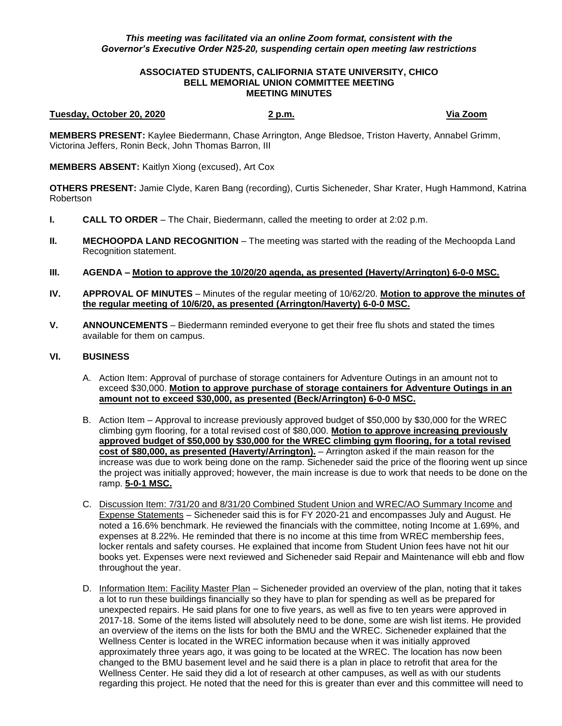## *This meeting was facilitated via an online Zoom format, consistent with the Governor's Executive Order N25-20, suspending certain open meeting law restrictions*

## **ASSOCIATED STUDENTS, CALIFORNIA STATE UNIVERSITY, CHICO BELL MEMORIAL UNION COMMITTEE MEETING MEETING MINUTES**

## **Tuesday, October 20, 2020 2 p.m. Via Zoom**

**MEMBERS PRESENT:** Kaylee Biedermann, Chase Arrington, Ange Bledsoe, Triston Haverty, Annabel Grimm, Victorina Jeffers, Ronin Beck, John Thomas Barron, III

**MEMBERS ABSENT:** Kaitlyn Xiong (excused), Art Cox

**OTHERS PRESENT:** Jamie Clyde, Karen Bang (recording), Curtis Sicheneder, Shar Krater, Hugh Hammond, Katrina Robertson

- **I. CALL TO ORDER**  The Chair, Biedermann, called the meeting to order at 2:02 p.m.
- **II. MECHOOPDA LAND RECOGNITION** The meeting was started with the reading of the Mechoopda Land Recognition statement.
- **III. AGENDA – Motion to approve the 10/20/20 agenda, as presented (Haverty/Arrington) 6-0-0 MSC.**
- **IV. APPROVAL OF MINUTES** Minutes of the regular meeting of 10/62/20. **Motion to approve the minutes of the regular meeting of 10/6/20, as presented (Arrington/Haverty) 6-0-0 MSC.**
- **V. ANNOUNCEMENTS** Biedermann reminded everyone to get their free flu shots and stated the times available for them on campus.

## **VI. BUSINESS**

- A. Action Item: Approval of purchase of storage containers for Adventure Outings in an amount not to exceed \$30,000. **Motion to approve purchase of storage containers for Adventure Outings in an amount not to exceed \$30,000, as presented (Beck/Arrington) 6-0-0 MSC.**
- B. Action Item Approval to increase previously approved budget of \$50,000 by \$30,000 for the WREC climbing gym flooring, for a total revised cost of \$80,000. **Motion to approve increasing previously approved budget of \$50,000 by \$30,000 for the WREC climbing gym flooring, for a total revised cost of \$80,000, as presented (Haverty/Arrington).** – Arrington asked if the main reason for the increase was due to work being done on the ramp. Sicheneder said the price of the flooring went up since the project was initially approved; however, the main increase is due to work that needs to be done on the ramp. **5-0-1 MSC.**
- C. Discussion Item: 7/31/20 and 8/31/20 Combined Student Union and WREC/AO Summary Income and Expense Statements – Sicheneder said this is for FY 2020-21 and encompasses July and August. He noted a 16.6% benchmark. He reviewed the financials with the committee, noting Income at 1.69%, and expenses at 8.22%. He reminded that there is no income at this time from WREC membership fees, locker rentals and safety courses. He explained that income from Student Union fees have not hit our books yet. Expenses were next reviewed and Sicheneder said Repair and Maintenance will ebb and flow throughout the year.
- D. Information Item: Facility Master Plan Sicheneder provided an overview of the plan, noting that it takes a lot to run these buildings financially so they have to plan for spending as well as be prepared for unexpected repairs. He said plans for one to five years, as well as five to ten years were approved in 2017-18. Some of the items listed will absolutely need to be done, some are wish list items. He provided an overview of the items on the lists for both the BMU and the WREC. Sicheneder explained that the Wellness Center is located in the WREC information because when it was initially approved approximately three years ago, it was going to be located at the WREC. The location has now been changed to the BMU basement level and he said there is a plan in place to retrofit that area for the Wellness Center. He said they did a lot of research at other campuses, as well as with our students regarding this project. He noted that the need for this is greater than ever and this committee will need to